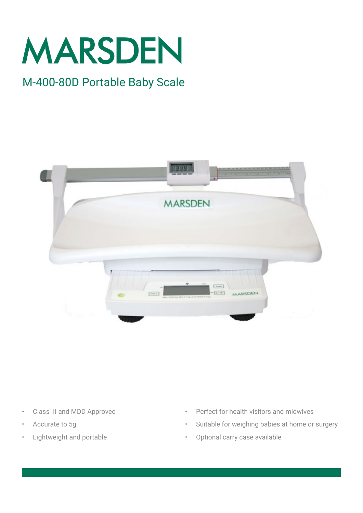

### M-400-80D Portable Baby Scale



- Class III and MDD Approved
- Accurate to 5g
- Lightweight and portable
- Perfect for health visitors and midwives
- Suitable for weighing babies at home or surgery
- Optional carry case available